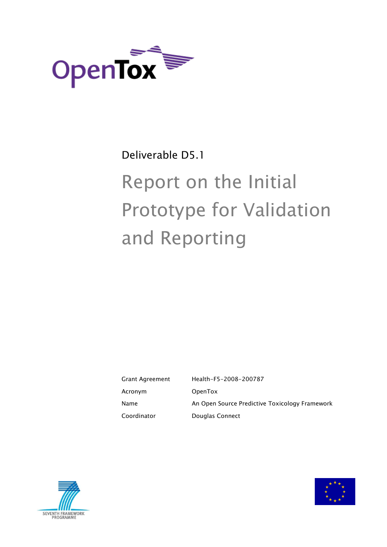

## Deliverable D5.1

# Report on the Initial Prototype for Validation and Reporting

Grant Agreement Health-F5-2008-200787 Acronym OpenTox Name **An Open Source Predictive Toxicology Framework** Coordinator Douglas Connect



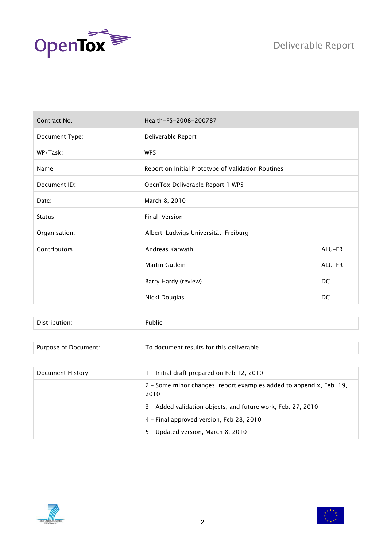

| Contract No.   | Health-F5-2008-200787                              |        |
|----------------|----------------------------------------------------|--------|
| Document Type: | Deliverable Report                                 |        |
| WP/Task:       | WP5                                                |        |
| Name           | Report on Initial Prototype of Validation Routines |        |
| Document ID:   | OpenTox Deliverable Report 1 WP5                   |        |
| Date:          | March 8, 2010                                      |        |
| Status:        | Final Version                                      |        |
| Organisation:  | Albert-Ludwigs Universität, Freiburg               |        |
| Contributors   | Andreas Karwath                                    | ALU-FR |
|                | Martin Gütlein                                     | ALU-FR |
|                | Barry Hardy (review)                               | DC     |
|                | Nicki Douglas                                      | DC     |

| Dis<br>. | ווני |
|----------|------|
|          |      |

| Purpose of Document: | To document results for this deliverable                                    |
|----------------------|-----------------------------------------------------------------------------|
|                      |                                                                             |
| Document History:    | 1 - Initial draft prepared on Feb 12, 2010                                  |
|                      | 2 - Some minor changes, report examples added to appendix, Feb. 19,<br>2010 |
|                      | 3 - Added validation objects, and future work, Feb. 27, 2010                |
|                      | 4 - Final approved version, Feb 28, 2010                                    |
|                      | 5 - Updated version, March 8, 2010                                          |



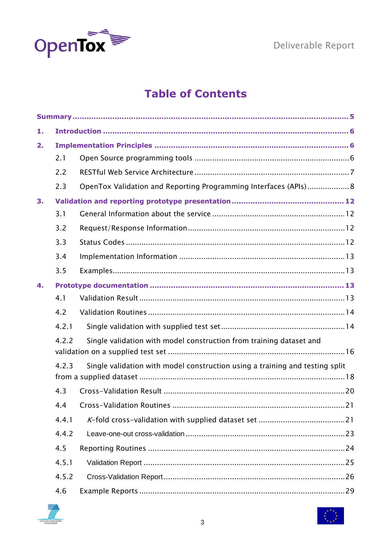

## **Table of Contents**

| 2.1   |                                                                              |
|-------|------------------------------------------------------------------------------|
| 2.2   |                                                                              |
| 2.3   | OpenTox Validation and Reporting Programming Interfaces (APIs) 8             |
|       |                                                                              |
| 3.1   |                                                                              |
| 3.2   |                                                                              |
| 3.3   |                                                                              |
| 3.4   |                                                                              |
| 3.5   |                                                                              |
|       |                                                                              |
| 4.1   |                                                                              |
| 4.2   |                                                                              |
| 4.2.1 |                                                                              |
| 4.2.2 | Single validation with model construction from training dataset and          |
| 4.2.3 | Single validation with model construction using a training and testing split |
| 4.3   |                                                                              |
|       |                                                                              |
| 4.4.1 |                                                                              |
| 4.4.2 |                                                                              |
| 4.5   |                                                                              |
| 4.5.1 |                                                                              |
| 4.5.2 |                                                                              |
| 4.6   |                                                                              |
|       |                                                                              |



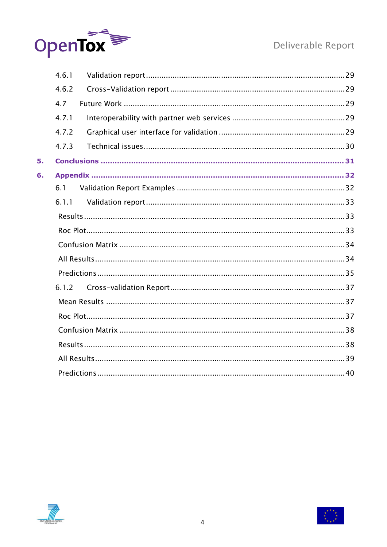

|    | 4.6.1 |  |
|----|-------|--|
|    | 4.6.2 |  |
|    | 4.7   |  |
|    | 4.7.1 |  |
|    | 4.7.2 |  |
|    | 4.7.3 |  |
| 5. |       |  |
| 6. |       |  |
|    | 6.1   |  |
|    | 6.1.1 |  |
|    |       |  |
|    |       |  |
|    |       |  |
|    |       |  |
|    |       |  |
|    | 6.1.2 |  |
|    |       |  |
|    |       |  |
|    |       |  |
|    |       |  |
|    |       |  |
|    |       |  |
|    |       |  |



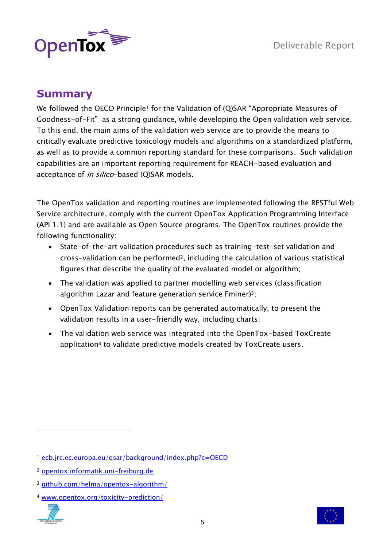

## <span id="page-4-0"></span>**Summary**

We followed the OECD Principle<sup>1</sup> for the Validation of (Q)SAR "Appropriate Measures of Goodness-of-Fit" as a strong guidance, while developing the Open validation web service. To this end, the main aims of the validation web service are to provide the means to critically evaluate predictive toxicology models and algorithms on a standardized platform, as well as to provide a common reporting standard for these comparisons. Such validation capabilities are an important reporting requirement for REACH-based evaluation and acceptance of *in silico*-based (Q)SAR models.

The OpenTox validation and reporting routines are implemented following the RESTful Web Service architecture, comply with the current OpenTox Application Programming Interface (API 1.1) and are available as Open Source programs. The OpenTox routines provide the following functionality:

- State-of-the-art validation procedures such as training-test-set validation and cross-validation can be performed2, including the calculation of various statistical figures that describe the quality of the evaluated model or algorithm;
- The validation was applied to partner modelling web services (classification algorithm Lazar and feature generation service Fminer)3;
- OpenTox Validation reports can be generated automatically, to present the validation results in a user-friendly way, including charts;
- The validation web service was integrated into the OpenTox-based ToxCreate application<sup>4</sup> to validate predictive models created by ToxCreate users.

<sup>4</sup> [www.opentox.org/toxicity-prediction/](http://www.opentox.org/toxicity-prediction/)





<sup>&</sup>lt;sup>1</sup> [ecb.jrc.ec.europa.eu/qsar/background/index.php?c=OECD](http://ecb.jrc.ec.europa.eu/qsar/background/index.php?c=OECD)

<sup>2</sup> [opentox.informatik.uni-freiburg.de](http://opentox.informatik.uni-freiburg.de/)

<sup>3</sup> [github.com/helma/opentox-algorithm/](http://github.com/helma/opentox-algorithm/)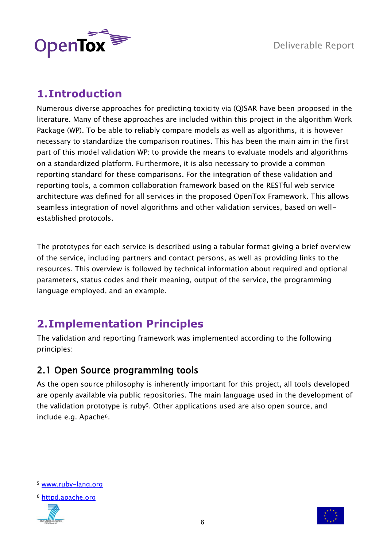

## <span id="page-5-0"></span>**1.Introduction**

Numerous diverse approaches for predicting toxicity via (Q)SAR have been proposed in the literature. Many of these approaches are included within this project in the algorithm Work Package (WP). To be able to reliably compare models as well as algorithms, it is however necessary to standardize the comparison routines. This has been the main aim in the first part of this model validation WP: to provide the means to evaluate models and algorithms on a standardized platform. Furthermore, it is also necessary to provide a common reporting standard for these comparisons. For the integration of these validation and reporting tools, a common collaboration framework based on the RESTful web service architecture was defined for all services in the proposed OpenTox Framework. This allows seamless integration of novel algorithms and other validation services, based on wellestablished protocols.

The prototypes for each service is described using a tabular format giving a brief overview of the service, including partners and contact persons, as well as providing links to the resources. This overview is followed by technical information about required and optional parameters, status codes and their meaning, output of the service, the programming language employed, and an example.

## <span id="page-5-1"></span>**2.Implementation Principles**

The validation and reporting framework was implemented according to the following principles:

## <span id="page-5-2"></span>2.1 Open Source programming tools

As the open source philosophy is inherently important for this project, all tools developed are openly available via public repositories. The main language used in the development of the validation prototype is ruby<sup>5</sup>. Other applications used are also open source, and include e.g. Apache6.

<sup>5</sup> [www.ruby-lang.org](http://www.ruby-lang.org/)

<sup>6</sup> [httpd.apache.org](http://httpd.apache.org/)



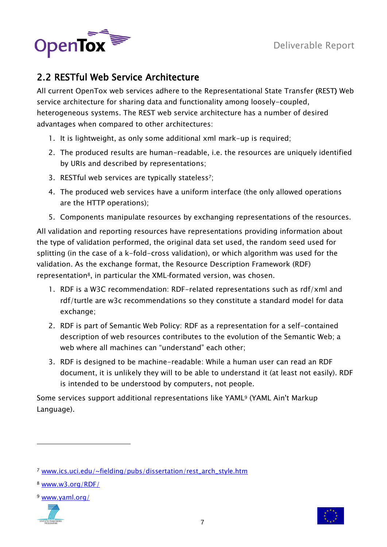

## <span id="page-6-0"></span>2.2 RESTful Web Service Architecture

All current OpenTox web services adhere to the Representational State Transfer (REST) Web service architecture for sharing data and functionality among loosely-coupled, heterogeneous systems. The REST web service architecture has a number of desired advantages when compared to other architectures:

- 1. It is lightweight, as only some additional xml mark-up is required;
- 2. The produced results are human-readable, i.e. the resources are uniquely identified by URIs and described by representations;
- 3. RESTful web services are typically stateless<sup>7</sup>;
- 4. The produced web services have a uniform interface (the only allowed operations are the HTTP operations);
- 5. Components manipulate resources by exchanging representations of the resources.

All validation and reporting resources have representations providing information about the type of validation performed, the original data set used, the random seed used for splitting (in the case of a k-fold-cross validation), or which algorithm was used for the validation. As the exchange format, the Resource Description Framework (RDF) representation8, in particular the XML-formated version, was chosen.

- 1. RDF is a W3C recommendation: RDF-related representations such as rdf/xml and rdf/turtle are w3c recommendations so they constitute a standard model for data exchange;
- 2. RDF is part of Semantic Web Policy: RDF as a representation for a self-contained description of web resources contributes to the evolution of the Semantic Web; a web where all machines can "understand" each other;
- 3. RDF is designed to be machine-readable: While a human user can read an RDF document, it is unlikely they will to be able to understand it (at least not easily). RDF is intended to be understood by computers, not people.

Some services support additional representations like YAML<sup>9</sup> (YAML Ain't Markup Language).

<sup>9</sup> [www.yaml.org/](http://www.yaml.org/)





<sup>7</sup> [www.ics.uci.edu/~fielding/pubs/dissertation/rest\\_arch\\_style.htm](http://www.ics.uci.edu/~fielding/pubs/dissertation/rest_arch_style.htm)

<sup>8</sup> [www.w3.org/RDF/](http://www.w3.org/RDF/)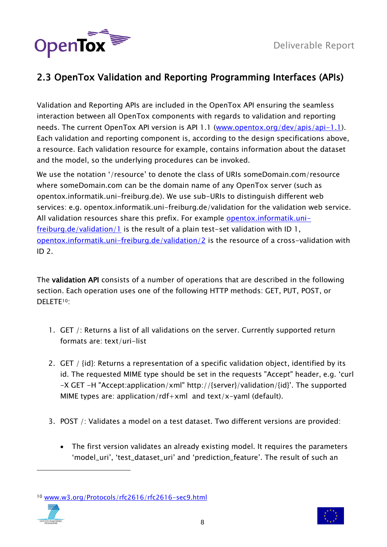

## <span id="page-7-0"></span>2.3 OpenTox Validation and Reporting Programming Interfaces (APIs)

Validation and Reporting APIs are included in the OpenTox API ensuring the seamless interaction between all OpenTox components with regards to validation and reporting needs. The current OpenTox API version is API 1.1 [\(www.opentox.org/dev/apis/api-1.1\)](http://www.opentox.org/dev/apis/api-1.1). Each validation and reporting component is, according to the design specifications above, a resource. Each validation resource for example, contains information about the dataset and the model, so the underlying procedures can be invoked.

We use the notation '/resource' to denote the class of URIs someDomain.com/resource where someDomain.com can be the domain name of any OpenTox server (such as opentox.informatik.uni-freiburg.de). We use sub-URIs to distinguish different web services: e.g. opentox.informatik.uni-freiburg.de/validation for the validation web service. All validation resources share this prefix. For example [opentox.informatik.uni](http://opentox.informatik.uni-freiburg.de/validation/1)[freiburg.de/validation/1](http://opentox.informatik.uni-freiburg.de/validation/1) is the result of a plain test-set validation with ID 1, [opentox.informatik.uni-freiburg.de/validation/2](http://opentox.informatik.uni-freiburg.de/validation/2) is the resource of a cross-validation with  $ID<sub>2</sub>$ .

The validation API consists of a number of operations that are described in the following section. Each operation uses one of the following HTTP methods: GET, PUT, POST, or DELETE<sup>10</sup>:

- 1. GET /: Returns a list of all validations on the server. Currently supported return formats are: text/uri-list
- 2. GET / {id}: Returns a representation of a specific validation object, identified by its id. The requested MIME type should be set in the requests "Accept" header, e.g. "curl -X GET -H "Accept:application/xml" http://{server}/validation/{id}". The supported MIME types are: application/rdf+xml and text/x-yaml (default).
- 3. POST /: Validates a model on a test dataset. Two different versions are provided:
	- The first version validates an already existing model. It requires the parameters "model\_uri", "test\_dataset\_uri" and "prediction\_feature". The result of such an

<sup>10</sup> [www.w3.org/Protocols/rfc2616/rfc2616-sec9.html](http://www.w3.org/Protocols/rfc2616/rfc2616-sec9.html)



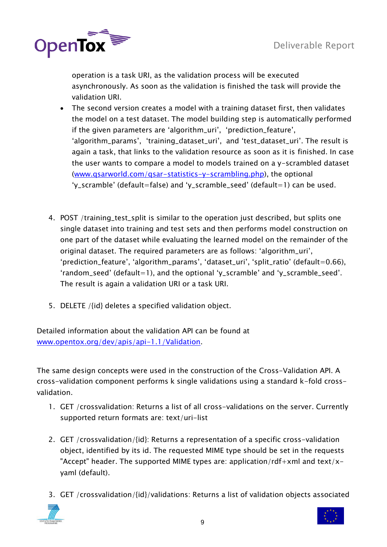

operation is a task URI, as the validation process will be executed asynchronously. As soon as the validation is finished the task will provide the validation URI.

- The second version creates a model with a training dataset first, then validates the model on a test dataset. The model building step is automatically performed if the given parameters are 'algorithm\_uri', 'prediction\_feature', "algorithm\_params", "training\_dataset\_uri", and "test\_dataset\_uri". The result is again a task, that links to the validation resource as soon as it is finished. In case the user wants to compare a model to models trained on a y-scrambled dataset [\(www.qsarworld.com/qsar-statistics-y-scrambling.php\)](http://www.qsarworld.com/qsar-statistics-y-scrambling.php), the optional 'y\_scramble' (default=false) and 'y\_scramble\_seed' (default=1) can be used.
- 4. POST /training\_test\_split is similar to the operation just described, but splits one single dataset into training and test sets and then performs model construction on one part of the dataset while evaluating the learned model on the remainder of the original dataset. The required parameters are as follows: "algorithm\_uri", "prediction\_feature", "algorithm\_params", "dataset\_uri", "split\_ratio" (default=0.66), "random\_seed' (default=1), and the optional 'y\_scramble' and 'y\_scramble\_seed'. The result is again a validation URI or a task URI.
- 5. DELETE /{id} deletes a specified validation object.

Detailed information about the validation API can be found at [www.opentox.org/dev/apis/api-1.1/Validation.](http://www.opentox.org/dev/apis/api-1.1/Validation)

The same design concepts were used in the construction of the Cross-Validation API. A cross-validation component performs k single validations using a standard k-fold crossvalidation.

- 1. GET /crossvalidation: Returns a list of all cross-validations on the server. Currently supported return formats are: text/uri-list
- 2. GET /crossvalidation/{id}: Returns a representation of a specific cross-validation object, identified by its id. The requested MIME type should be set in the requests "Accept" header. The supported MIME types are: application/rdf+xml and text/xyaml (default).
- 3. GET /crossvalidation/{id}/validations: Returns a list of validation objects associated



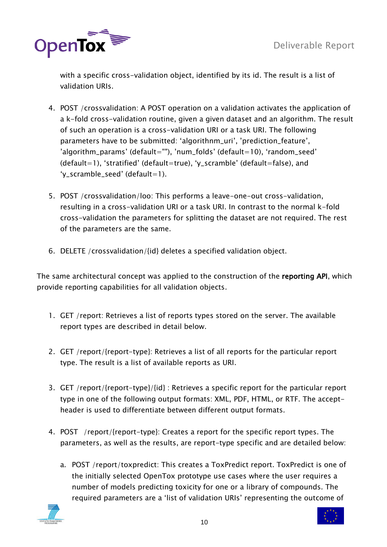

with a specific cross-validation object, identified by its id. The result is a list of validation URIs.

- 4. POST /crossvalidation: A POST operation on a validation activates the application of a k-fold cross-validation routine, given a given dataset and an algorithm. The result of such an operation is a cross-validation URI or a task URI. The following parameters have to be submitted: "algorithnm\_uri", "prediction\_feature", 'algorithm\_params' (default=""), 'num\_folds' (default=10), 'random\_seed' (default=1), "stratified" (default=true), "y\_scramble" (default=false), and 'y\_scramble\_seed' (default=1).
- 5. POST /crossvalidation/loo: This performs a leave-one-out cross-validation, resulting in a cross-validation URI or a task URI. In contrast to the normal k-fold cross-validation the parameters for splitting the dataset are not required. The rest of the parameters are the same.
- 6. DELETE /crossvalidation/{id} deletes a specified validation object.

The same architectural concept was applied to the construction of the reporting API, which provide reporting capabilities for all validation objects.

- 1. GET /report: Retrieves a list of reports types stored on the server. The available report types are described in detail below.
- 2. GET /report/{report-type}: Retrieves a list of all reports for the particular report type. The result is a list of available reports as URI.
- 3. GET /report/{report-type}/{id} : Retrieves a specific report for the particular report type in one of the following output formats: XML, PDF, HTML, or RTF. The acceptheader is used to differentiate between different output formats.
- 4. POST /report/{report-type}: Creates a report for the specific report types. The parameters, as well as the results, are report-type specific and are detailed below:
	- a. POST /report/toxpredict: This creates a ToxPredict report. ToxPredict is one of the initially selected OpenTox prototype use cases where the user requires a number of models predicting toxicity for one or a library of compounds. The required parameters are a "list of validation URIs" representing the outcome of



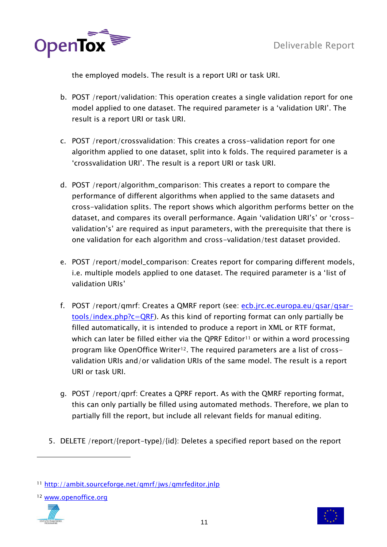

the employed models. The result is a report URI or task URI.

- b. POST /report/validation: This operation creates a single validation report for one model applied to one dataset. The required parameter is a "validation URI". The result is a report URI or task URI.
- c. POST /report/crossvalidation: This creates a cross-validation report for one algorithm applied to one dataset, split into k folds. The required parameter is a "crossvalidation URI". The result is a report URI or task URI.
- d. POST /report/algorithm\_comparison: This creates a report to compare the performance of different algorithms when applied to the same datasets and cross-validation splits. The report shows which algorithm performs better on the dataset, and compares its overall performance. Again "validation URI"s" or "crossvalidation"s" are required as input parameters, with the prerequisite that there is one validation for each algorithm and cross-validation/test dataset provided.
- e. POST /report/model\_comparison: Creates report for comparing different models, i.e. multiple models applied to one dataset. The required parameter is a "list of validation URIs"
- f. POST /report/qmrf: Creates a QMRF report (see: [ecb.jrc.ec.europa.eu/qsar/qsar](http://ecb.jrc.ec.europa.eu/qsar/qsar-tools/index.php?c=QRF)[tools/index.php?c=QRF\)](http://ecb.jrc.ec.europa.eu/qsar/qsar-tools/index.php?c=QRF). As this kind of reporting format can only partially be filled automatically, it is intended to produce a report in XML or RTF format, which can later be filled either via the QPRF Editor<sup>11</sup> or within a word processing program like OpenOffice Writer12. The required parameters are a list of crossvalidation URIs and/or validation URIs of the same model. The result is a report URI or task URI.
- g. POST /report/qprf: Creates a QPRF report. As with the QMRF reporting format, this can only partially be filled using automated methods. Therefore, we plan to partially fill the report, but include all relevant fields for manual editing.
- 5. DELETE /report/{report-type}/{id}: Deletes a specified report based on the report

<sup>12</sup> [www.openoffice.org](http://www.openoffice.org/)





<sup>11</sup> <http://ambit.sourceforge.net/qmrf/jws/qmrfeditor.jnlp>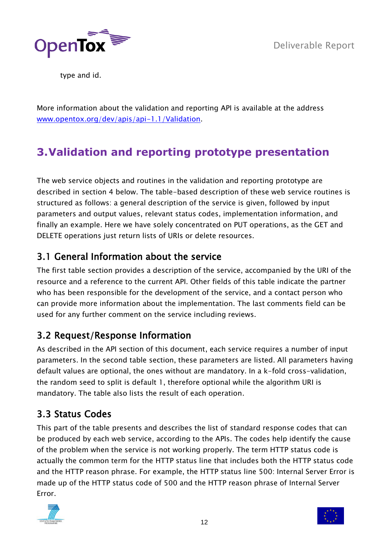

type and id.

More information about the validation and reporting API is available at the address [www.opentox.org/dev/apis/api-1.1/Validation.](http://opentox.org/dev/apis/api-1.1/Validation)

## <span id="page-11-0"></span>**3.Validation and reporting prototype presentation**

The web service objects and routines in the validation and reporting prototype are described in section 4 below. The table-based description of these web service routines is structured as follows: a general description of the service is given, followed by input parameters and output values, relevant status codes, implementation information, and finally an example. Here we have solely concentrated on PUT operations, as the GET and DELETE operations just return lists of URIs or delete resources.

## <span id="page-11-1"></span>3.1 General Information about the service

The first table section provides a description of the service, accompanied by the URI of the resource and a reference to the current API. Other fields of this table indicate the partner who has been responsible for the development of the service, and a contact person who can provide more information about the implementation. The last comments field can be used for any further comment on the service including reviews.

## <span id="page-11-2"></span>3.2 Request/Response Information

As described in the API section of this document, each service requires a number of input parameters. In the second table section, these parameters are listed. All parameters having default values are optional, the ones without are mandatory. In a k-fold cross-validation, the random seed to split is default 1, therefore optional while the algorithm URI is mandatory. The table also lists the result of each operation.

## <span id="page-11-3"></span>3.3 Status Codes

This part of the table presents and describes the list of standard response codes that can be produced by each web service, according to the APIs. The codes help identify the cause of the problem when the service is not working properly. The term HTTP status code is actually the common term for the HTTP status line that includes both the HTTP status code and the HTTP reason phrase. For example, the HTTP status line 500: Internal Server Error is made up of the HTTP status code of 500 and the HTTP reason phrase of Internal Server Error.



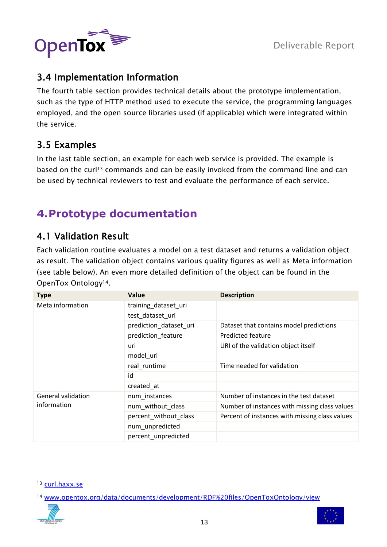

## <span id="page-12-0"></span>3.4 Implementation Information

The fourth table section provides technical details about the prototype implementation, such as the type of HTTP method used to execute the service, the programming languages employed, and the open source libraries used (if applicable) which were integrated within the service.

## <span id="page-12-1"></span>3.5 Examples

In the last table section, an example for each web service is provided. The example is based on the curl<sup>13</sup> commands and can be easily invoked from the command line and can be used by technical reviewers to test and evaluate the performance of each service.

## <span id="page-12-2"></span>**4.Prototype documentation**

## <span id="page-12-3"></span>4.1 Validation Result

Each validation routine evaluates a model on a test dataset and returns a validation object as result. The validation object contains various quality figures as well as Meta information (see table below). An even more detailed definition of the object can be found in the OpenTox Ontology14.

| <b>Type</b>        | Value                  | <b>Description</b>                             |
|--------------------|------------------------|------------------------------------------------|
| Meta information   | training dataset uri   |                                                |
|                    | test dataset uri       |                                                |
|                    | prediction_dataset_uri | Dataset that contains model predictions        |
|                    | prediction_feature     | <b>Predicted feature</b>                       |
|                    | uri                    | URI of the validation object itself            |
|                    | model_uri              |                                                |
|                    | real_runtime           | Time needed for validation                     |
|                    | id                     |                                                |
|                    | created_at             |                                                |
| General validation | num_instances          | Number of instances in the test dataset        |
| information        | num without class      | Number of instances with missing class values  |
|                    | percent_without_class  | Percent of instances with missing class values |
|                    | num_unpredicted        |                                                |
|                    | percent_unpredicted    |                                                |

<sup>14</sup> [www.opentox.org/data/documents/development/RDF%20files/OpenToxOntology/view](http://www.opentox.org/data/documents/development/RDF%20files/OpenToxOntology/view)





<sup>13</sup> [curl.haxx.se](http://curl.haxx.se/)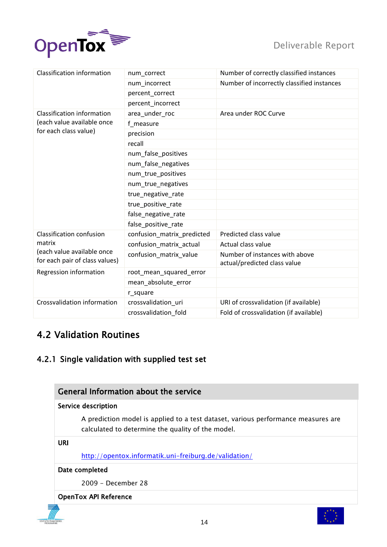

| <b>Classification information</b>                            | num correct                | Number of correctly classified instances                       |
|--------------------------------------------------------------|----------------------------|----------------------------------------------------------------|
|                                                              | num incorrect              | Number of incorrectly classified instances                     |
|                                                              | percent correct            |                                                                |
|                                                              | percent_incorrect          |                                                                |
| <b>Classification information</b>                            | area_under_roc             | Area under ROC Curve                                           |
| (each value available once                                   | f measure                  |                                                                |
| for each class value)                                        | precision                  |                                                                |
|                                                              | recall                     |                                                                |
|                                                              | num_false_positives        |                                                                |
|                                                              | num_false_negatives        |                                                                |
|                                                              | num_true_positives         |                                                                |
|                                                              | num_true_negatives         |                                                                |
|                                                              | true_negative_rate         |                                                                |
|                                                              | true positive rate         |                                                                |
|                                                              | false negative rate        |                                                                |
|                                                              | false positive rate        |                                                                |
| <b>Classification confusion</b>                              | confusion_matrix_predicted | Predicted class value                                          |
| matrix                                                       | confusion matrix actual    | Actual class value                                             |
| (each value available once<br>for each pair of class values) | confusion matrix value     | Number of instances with above<br>actual/predicted class value |
| Regression information                                       | root_mean_squared_error    |                                                                |
|                                                              | mean_absolute_error        |                                                                |
|                                                              | r_square                   |                                                                |
| Crossvalidation information                                  | crossvalidation_uri        | URI of crossvalidation (if available)                          |
|                                                              | crossvalidation fold       | Fold of crossvalidation (if available)                         |

## <span id="page-13-0"></span>4.2 Validation Routines

### <span id="page-13-1"></span>4.2.1 Single validation with supplied test set



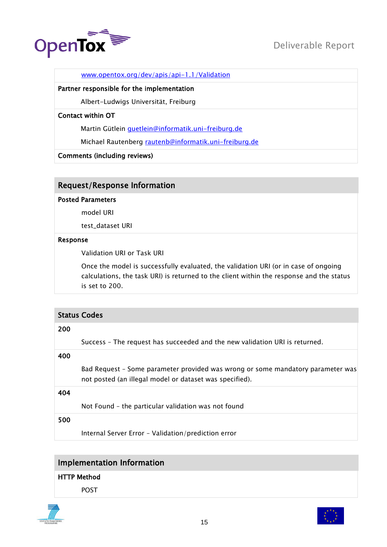

#### [www.opentox.org/dev/apis/api-1.1/Validation](http://www.opentox.org/dev/apis/api-1.1/Validation)

#### Partner responsible for the implementation

Albert-Ludwigs Universität, Freiburg

#### Contact within OT

Martin Gütlein [guetlein@informatik.uni-freiburg.de](mailto:guetlein@informatik.uni-freiburg.de)

Michael Rautenberg [rautenb@informatik.uni-freiburg.de](file:///C:/Documents%20and%20Settings/Administrator/Local%20Settings/Temp/rautenb@informatik.uni-freiburg.de)

#### Comments (including reviews)

#### Request/Response Information

#### Posted Parameters

model URI

test\_dataset URI

#### Response

Validation URI or Task URI

Once the model is successfully evaluated, the validation URI (or in case of ongoing calculations, the task URI) is returned to the client within the response and the status is set to 200.

#### Status Codes

#### 200

Success – The request has succeeded and the new validation URI is returned.

#### 400

Bad Request – Some parameter provided was wrong or some mandatory parameter was not posted (an illegal model or dataset was specified).

#### 404

Not Found – the particular validation was not found

#### 500

Internal Server Error – Validation/prediction error

### Implementation Information

#### HTTP Method

POST



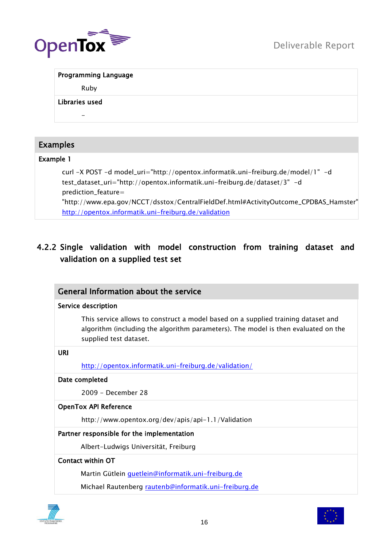

#### Programming Language

Ruby

#### Libraries used

-

### Examples

#### Example 1

```
curl -X POST -d model_uri="http://opentox.informatik.uni-freiburg.de/model/1" -d 
test_dataset_uri="http://opentox.informatik.uni-freiburg.de/dataset/3" -d 
prediction_feature=
"http://www.epa.gov/NCCT/dsstox/CentralFieldDef.html#ActivityOutcome_CPDBAS_Hamster" 
http://opentox.informatik.uni-freiburg.de/validation
```
### <span id="page-15-0"></span>4.2.2 Single validation with model construction from training dataset and validation on a supplied test set

## General Information about the service Service description This service allows to construct a model based on a supplied training dataset and algorithm (including the algorithm parameters). The model is then evaluated on the supplied test dataset. URI <http://opentox.informatik.uni-freiburg.de/validation/> Date completed 2009 - December 28 OpenTox API Reference http://www.opentox.org/dev/apis/api-1.1/Validation Partner responsible for the implementation Albert-Ludwigs Universität, Freiburg Contact within OT Martin Gütlein [guetlein@informatik.uni-freiburg.de](mailto:guetlein@informatik.uni-freiburg.de) Michael Rautenberg [rautenb@informatik.uni-freiburg.de](file:///C:/Documents%20and%20Settings/Administrator/Local%20Settings/Temp/rautenb@informatik.uni-freiburg.de)



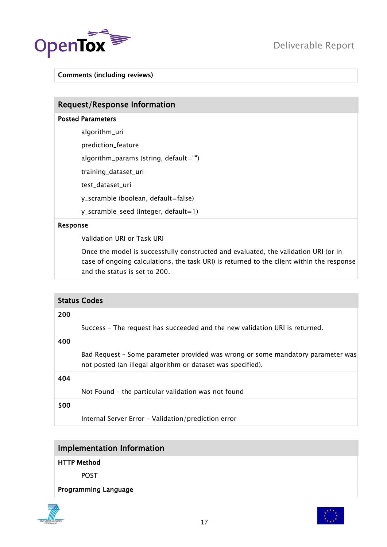

#### Comments (including reviews)

### Request/Response Information

#### Posted Parameters

algorithm\_uri

prediction\_feature

algorithm\_params (string, default="")

training\_dataset\_uri

test\_dataset\_uri

y\_scramble (boolean, default=false)

y\_scramble\_seed (integer, default=1)

#### Response

Validation URI or Task URI

Once the model is successfully constructed and evaluated, the validation URI (or in case of ongoing calculations, the task URI) is returned to the client within the response and the status is set to 200.

|     | <b>Status Codes</b>                                                                                                                            |
|-----|------------------------------------------------------------------------------------------------------------------------------------------------|
| 200 |                                                                                                                                                |
|     | Success - The request has succeeded and the new validation URI is returned.                                                                    |
| 400 |                                                                                                                                                |
|     | Bad Request - Some parameter provided was wrong or some mandatory parameter was<br>not posted (an illegal algorithm or dataset was specified). |
| 404 |                                                                                                                                                |
|     | Not Found - the particular validation was not found                                                                                            |
| 500 |                                                                                                                                                |
|     | Internal Server Error - Validation/prediction error                                                                                            |

### Implementation Information

#### HTTP Method

POST

Programming Language



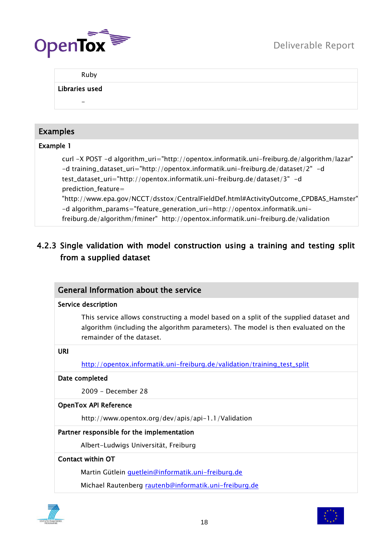

Ruby

Libraries used

-

### Examples

### Example 1

curl -X POST -d algorithm\_uri="http://opentox.informatik.uni-freiburg.de/algorithm/lazar" -d training\_dataset\_uri="http://opentox.informatik.uni-freiburg.de/dataset/2" -d test\_dataset\_uri="http://opentox.informatik.uni-freiburg.de/dataset/3" -d prediction\_feature= "http://www.epa.gov/NCCT/dsstox/CentralFieldDef.html#ActivityOutcome\_CPDBAS\_Hamster" -d algorithm\_params="feature\_generation\_uri=http://opentox.informatik.unifreiburg.de/algorithm/fminer" http://opentox.informatik.uni-freiburg.de/validation

### <span id="page-17-0"></span>4.2.3 Single validation with model construction using a training and testing split from a supplied dataset

|                          | General Information about the service                                                                                                                                                                    |  |
|--------------------------|----------------------------------------------------------------------------------------------------------------------------------------------------------------------------------------------------------|--|
|                          | Service description                                                                                                                                                                                      |  |
|                          | This service allows constructing a model based on a split of the supplied dataset and<br>algorithm (including the algorithm parameters). The model is then evaluated on the<br>remainder of the dataset. |  |
| <b>URI</b>               |                                                                                                                                                                                                          |  |
|                          | http://opentox.informatik.uni-freiburg.de/validation/training_test_split                                                                                                                                 |  |
|                          | Date completed                                                                                                                                                                                           |  |
|                          | 2009 - December 28                                                                                                                                                                                       |  |
|                          | <b>OpenTox API Reference</b>                                                                                                                                                                             |  |
|                          | http://www.opentox.org/dev/apis/api-1.1/Validation                                                                                                                                                       |  |
|                          | Partner responsible for the implementation                                                                                                                                                               |  |
|                          | Albert-Ludwigs Universität, Freiburg                                                                                                                                                                     |  |
| <b>Contact within OT</b> |                                                                                                                                                                                                          |  |
|                          | Martin Gütlein quetlein@informatik.uni-freiburg.de                                                                                                                                                       |  |
|                          | Michael Rautenberg rautenb@informatik.uni-freiburg.de                                                                                                                                                    |  |



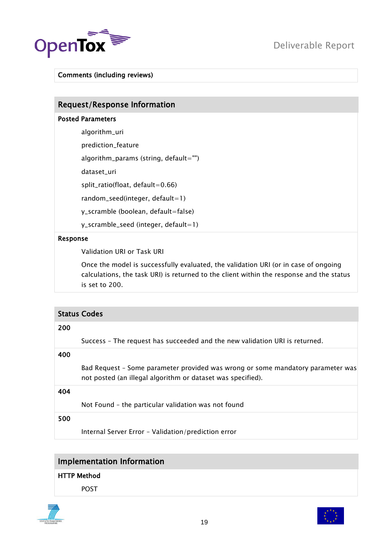

#### Comments (including reviews)

### Request/Response Information

#### Posted Parameters

algorithm\_uri prediction\_feature algorithm\_params (string, default="") dataset\_uri split\_ratio(float, default=0.66) random\_seed(integer, default=1) y\_scramble (boolean, default=false) y\_scramble\_seed (integer, default=1)

#### Response

Validation URI or Task URI

Once the model is successfully evaluated, the validation URI (or in case of ongoing calculations, the task URI) is returned to the client within the response and the status is set to 200.

|     | <b>Status Codes</b>                                                                                                                            |
|-----|------------------------------------------------------------------------------------------------------------------------------------------------|
| 200 |                                                                                                                                                |
|     | Success - The request has succeeded and the new validation URI is returned.                                                                    |
| 400 |                                                                                                                                                |
|     | Bad Request - Some parameter provided was wrong or some mandatory parameter was<br>not posted (an illegal algorithm or dataset was specified). |
| 404 |                                                                                                                                                |
|     | Not Found - the particular validation was not found                                                                                            |
| 500 |                                                                                                                                                |
|     | Internal Server Error - Validation/prediction error                                                                                            |

### Implementation Information

#### HTTP Method

POST



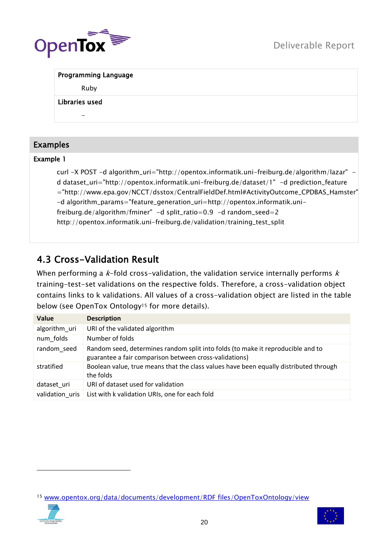

#### Programming Language

Ruby

#### Libraries used

-

Examples

#### Example 1

curl -X POST -d algorithm\_uri="http://opentox.informatik.uni-freiburg.de/algorithm/lazar" d dataset\_uri="http://opentox.informatik.uni-freiburg.de/dataset/1" -d prediction\_feature ="http://www.epa.gov/NCCT/dsstox/CentralFieldDef.html#ActivityOutcome\_CPDBAS\_Hamster" -d algorithm\_params="feature\_generation\_uri=http://opentox.informatik.unifreiburg.de/algorithm/fminer" -d split\_ratio=0.9 -d random\_seed=2 http://opentox.informatik.uni-freiburg.de/validation/training\_test\_split

## <span id="page-19-0"></span>4.3 Cross-Validation Result

When performing a  $k$ -fold cross-validation, the validation service internally performs  $k$ training-test-set validations on the respective folds. Therefore, a cross-validation object contains links to k validations. All values of a cross-validation object are listed in the table below (see OpenTox Ontology<sup>15</sup> for more details).

| Value           | <b>Description</b>                                                                                                                        |
|-----------------|-------------------------------------------------------------------------------------------------------------------------------------------|
| algorithm uri   | URI of the validated algorithm                                                                                                            |
| num folds       | Number of folds                                                                                                                           |
| random_seed     | Random seed, determines random split into folds (to make it reproducible and to<br>guarantee a fair comparison between cross-validations) |
| stratified      | Boolean value, true means that the class values have been equally distributed through<br>the folds                                        |
| dataset uri     | URI of dataset used for validation                                                                                                        |
| validation uris | List with k validation URIs, one for each fold                                                                                            |

<sup>15</sup> [www.opentox.org/data/documents/development/RDF files/OpenToxOntology/view](http://www.opentox.org/data/documents/development/RDF%20files/OpenToxOntology/view)



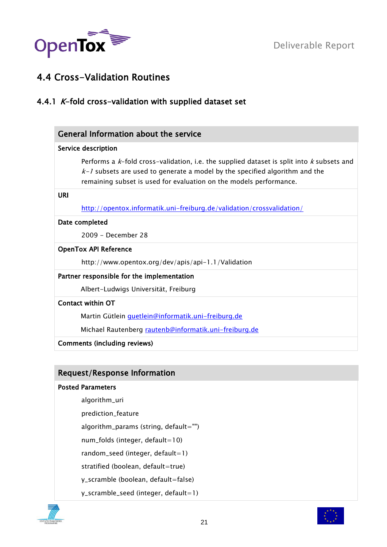

## <span id="page-20-0"></span>4.4 Cross-Validation Routines

### <span id="page-20-1"></span>4.4.1  $K$ -fold cross-validation with supplied dataset set

|            | <b>General Information about the service</b>                                                                                                                                                                                                          |
|------------|-------------------------------------------------------------------------------------------------------------------------------------------------------------------------------------------------------------------------------------------------------|
|            | Service description                                                                                                                                                                                                                                   |
|            | Performs a $k$ -fold cross-validation, i.e. the supplied dataset is split into $k$ subsets and<br>$k-1$ subsets are used to generate a model by the specified algorithm and the<br>remaining subset is used for evaluation on the models performance. |
| <b>URI</b> |                                                                                                                                                                                                                                                       |
|            | http://opentox.informatik.uni-freiburg.de/validation/crossvalidation/                                                                                                                                                                                 |
|            | Date completed                                                                                                                                                                                                                                        |
|            | 2009 - December 28                                                                                                                                                                                                                                    |
|            | <b>OpenTox API Reference</b>                                                                                                                                                                                                                          |
|            | http://www.opentox.org/dev/apis/api-1.1/Validation                                                                                                                                                                                                    |
|            | Partner responsible for the implementation                                                                                                                                                                                                            |
|            | Albert-Ludwigs Universität, Freiburg                                                                                                                                                                                                                  |
|            | <b>Contact within OT</b>                                                                                                                                                                                                                              |
|            | Martin Gütlein guetlein@informatik.uni-freiburg.de                                                                                                                                                                                                    |
|            | Michael Rautenberg rautenb@informatik.uni-freiburg.de                                                                                                                                                                                                 |
|            | <b>Comments (including reviews)</b>                                                                                                                                                                                                                   |
|            |                                                                                                                                                                                                                                                       |
|            | <b>Request/Response Information</b>                                                                                                                                                                                                                   |
|            | <b>Posted Parameters</b>                                                                                                                                                                                                                              |
|            | algorithm_uri                                                                                                                                                                                                                                         |
|            | prediction_feature                                                                                                                                                                                                                                    |
|            | algorithm_params (string, default="")                                                                                                                                                                                                                 |
|            | num_folds (integer, default=10)                                                                                                                                                                                                                       |
|            | random_seed (integer, default=1)                                                                                                                                                                                                                      |
|            | stratified (boolean, default=true)                                                                                                                                                                                                                    |
|            | y_scramble (boolean, default=false)                                                                                                                                                                                                                   |
|            | y_scramble_seed (integer, default=1)                                                                                                                                                                                                                  |



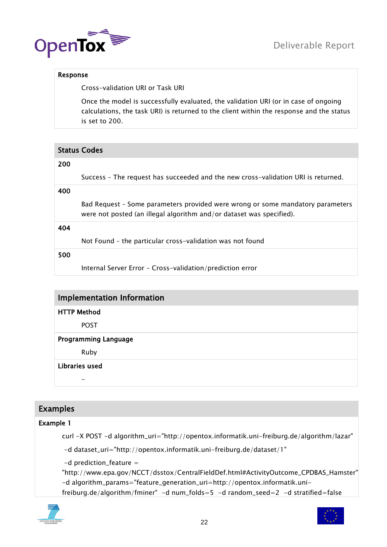



#### Response

Cross-validation URI or Task URI

Once the model is successfully evaluated, the validation URI (or in case of ongoing calculations, the task URI) is returned to the client within the response and the status is set to 200.

| <b>Status Codes</b>                                                                                                                                    |
|--------------------------------------------------------------------------------------------------------------------------------------------------------|
| 200                                                                                                                                                    |
| Success - The request has succeeded and the new cross-validation URI is returned.                                                                      |
| 400                                                                                                                                                    |
| Bad Request - Some parameters provided were wrong or some mandatory parameters<br>were not posted (an illegal algorithm and/or dataset was specified). |
| 404                                                                                                                                                    |
| Not Found - the particular cross-validation was not found                                                                                              |
| 500                                                                                                                                                    |
| Internal Server Error - Cross-validation/prediction error                                                                                              |
|                                                                                                                                                        |
| <b>Implementation Information</b>                                                                                                                      |
| <b>HTTP Method</b>                                                                                                                                     |
| <b>POST</b>                                                                                                                                            |
| <b>Programming Language</b>                                                                                                                            |
| Ruby                                                                                                                                                   |
| Libraries used                                                                                                                                         |

## Examples Example 1

-

curl -X POST -d algorithm\_uri="http://opentox.informatik.uni-freiburg.de/algorithm/lazar"

-d dataset\_uri="http://opentox.informatik.uni-freiburg.de/dataset/1"

```
-d prediction_feature =
```
"http://www.epa.gov/NCCT/dsstox/CentralFieldDef.html#ActivityOutcome\_CPDBAS\_Hamster" -d algorithm\_params="feature\_generation\_uri=http://opentox.informatik.unifreiburg.de/algorithm/fminer" -d num\_folds=5 -d random\_seed=2 -d stratified=false



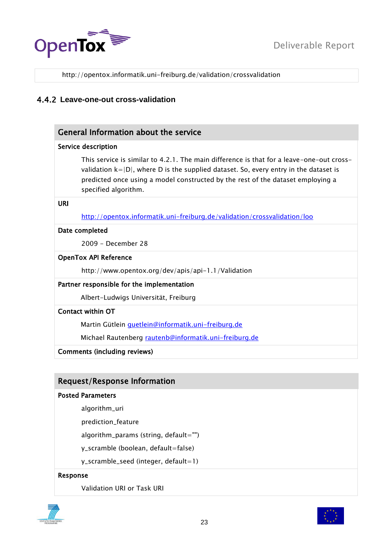

http://opentox.informatik.uni-freiburg.de/validation/crossvalidation

#### <span id="page-22-0"></span>4.4.2 **Leave-one-out cross-validation**

## General Information about the service Service description This service is similar to 4.2.1. The main difference is that for a leave-one-out crossvalidation  $k=|D|$ , where D is the supplied dataset. So, every entry in the dataset is predicted once using a model constructed by the rest of the dataset employing a specified algorithm. URI <http://opentox.informatik.uni-freiburg.de/validation/crossvalidation/loo> Date completed 2009 - December 28 OpenTox API Reference http://www.opentox.org/dev/apis/api-1.1/Validation Partner responsible for the implementation Albert-Ludwigs Universität, Freiburg Contact within OT Martin Gütlein [guetlein@informatik.uni-freiburg.de](mailto:guetlein@informatik.uni-freiburg.de) Michael Rautenberg [rautenb@informatik.uni-freiburg.de](file:///C:/Documents%20and%20Settings/Administrator/Local%20Settings/Temp/rautenb@informatik.uni-freiburg.de) Comments (including reviews) Request/Response Information

#### Posted Parameters

#### algorithm\_uri

prediction\_feature

algorithm\_params (string, default="")

y\_scramble (boolean, default=false)

y\_scramble\_seed (integer, default=1)

#### Response

Validation URI or Task URI



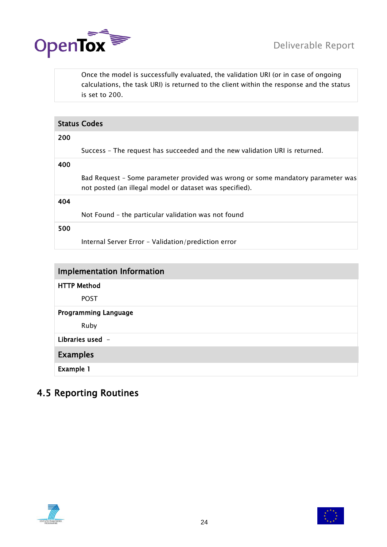

Once the model is successfully evaluated, the validation URI (or in case of ongoing calculations, the task URI) is returned to the client within the response and the status is set to 200.

|     | <b>Status Codes</b>                                                             |
|-----|---------------------------------------------------------------------------------|
| 200 |                                                                                 |
|     | Success - The request has succeeded and the new validation URI is returned.     |
| 400 |                                                                                 |
|     | Bad Request - Some parameter provided was wrong or some mandatory parameter was |
|     | not posted (an illegal model or dataset was specified).                         |
| 404 |                                                                                 |
|     | Not Found - the particular validation was not found                             |
| 500 |                                                                                 |
|     | Internal Server Error - Validation/prediction error                             |
|     |                                                                                 |

| <b>Implementation Information</b> |  |
|-----------------------------------|--|
| <b>HTTP Method</b>                |  |
| <b>POST</b>                       |  |
| <b>Programming Language</b>       |  |
| Ruby                              |  |
| Libraries used -                  |  |
| <b>Examples</b>                   |  |
| Example 1                         |  |

## <span id="page-23-0"></span>4.5 Reporting Routines



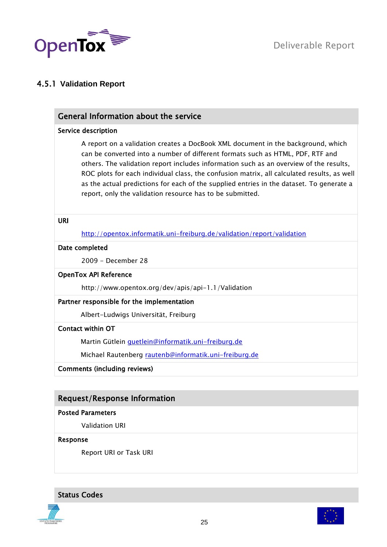

### <span id="page-24-0"></span>4.5.1 **Validation Report**

#### General Information about the service

#### Service description

A report on a validation creates a DocBook XML document in the background, which can be converted into a number of different formats such as HTML, PDF, RTF and others. The validation report includes information such as an overview of the results, ROC plots for each individual class, the confusion matrix, all calculated results, as well as the actual predictions for each of the supplied entries in the dataset. To generate a report, only the validation resource has to be submitted.

#### URI

<http://opentox.informatik.uni-freiburg.de/validation/report/validation>

#### Date completed

2009 - December 28

#### OpenTox API Reference

http://www.opentox.org/dev/apis/api-1.1/Validation

#### Partner responsible for the implementation

Albert-Ludwigs Universität, Freiburg

#### Contact within OT

Martin Gütlein [guetlein@informatik.uni-freiburg.de](mailto:guetlein@informatik.uni-freiburg.de)

Michael Rautenberg [rautenb@informatik.uni-freiburg.de](file:///C:/Documents%20and%20Settings/Administrator/Local%20Settings/Temp/rautenb@informatik.uni-freiburg.de)

Comments (including reviews)

#### Request/Response Information

#### Posted Parameters

Validation URI

#### Response

Report URI or Task URI

Status Codes

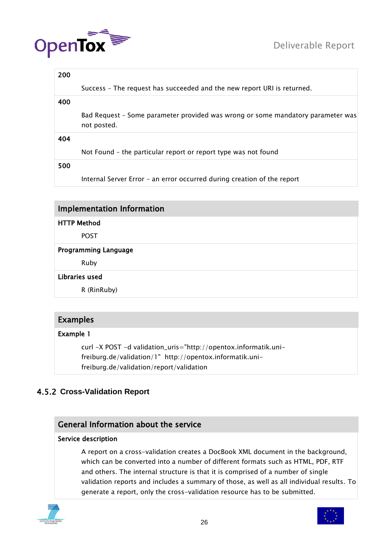

200

|     | Success - The request has succeeded and the new report URI is returned.                        |
|-----|------------------------------------------------------------------------------------------------|
| 400 |                                                                                                |
|     | Bad Request - Some parameter provided was wrong or some mandatory parameter was<br>not posted. |
| 404 |                                                                                                |
|     | Not Found - the particular report or report type was not found                                 |
| 500 |                                                                                                |
|     | Internal Server Error - an error occurred during creation of the report                        |
|     |                                                                                                |
|     | <b>Implementation Information</b>                                                              |
|     | <b>HTTP Method</b>                                                                             |
|     | <b>POST</b>                                                                                    |
|     | <b>Programming Language</b>                                                                    |
|     | Ruby                                                                                           |

#### Libraries used

R (RinRuby)

### Examples

#### Example 1

curl -X POST -d validation\_uris="http://opentox.informatik.unifreiburg.de/validation/1" http://opentox.informatik.unifreiburg.de/validation/report/validation

### <span id="page-25-0"></span>4.5.2 **Cross-Validation Report**

### General Information about the service

#### Service description

A report on a cross-validation creates a DocBook XML document in the background, which can be converted into a number of different formats such as HTML, PDF, RTF and others. The internal structure is that it is comprised of a number of single validation reports and includes a summary of those, as well as all individual results. To generate a report, only the cross-validation resource has to be submitted.



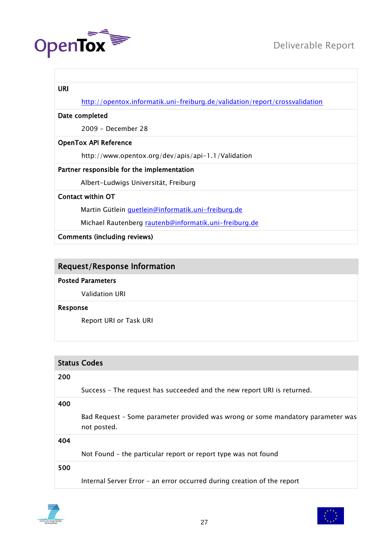

#### URI

<http://opentox.informatik.uni-freiburg.de/validation/report/crossvalidation>

#### Date completed

2009 - December 28

#### OpenTox API Reference

http://www.opentox.org/dev/apis/api-1.1/Validation

#### Partner responsible for the implementation

Albert-Ludwigs Universität, Freiburg

#### Contact within OT

Martin Gütlein [guetlein@informatik.uni-freiburg.de](mailto:guetlein@informatik.uni-freiburg.de)

Michael Rautenberg [rautenb@informatik.uni-freiburg.de](file:///C:/Documents%20and%20Settings/Administrator/Local%20Settings/Temp/rautenb@informatik.uni-freiburg.de)

#### Comments (including reviews)

#### Request/Response Information

#### Posted Parameters

Validation URI

#### Response

Report URI or Task URI

#### Status Codes

#### 200

Success – The request has succeeded and the new report URI is returned.

#### 400

Bad Request – Some parameter provided was wrong or some mandatory parameter was not posted.

#### 404

Not Found – the particular report or report type was not found

#### 500

Internal Server Error – an error occurred during creation of the report



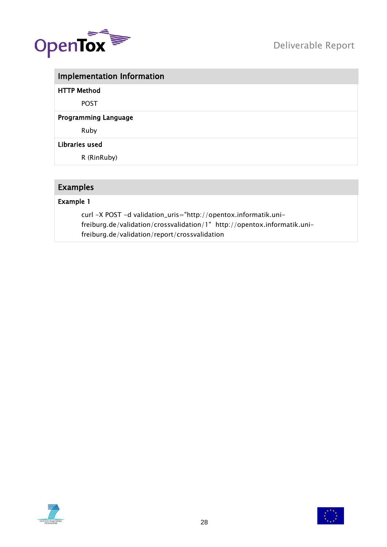

| <b>HTTP Method</b><br><b>POST</b> |
|-----------------------------------|
|                                   |
|                                   |
| <b>Programming Language</b>       |
| Ruby                              |
| Libraries used                    |
| R (RinRuby)                       |

### Examples

### Example 1

curl -X POST -d validation\_uris="http://opentox.informatik.unifreiburg.de/validation/crossvalidation/1" http://opentox.informatik.unifreiburg.de/validation/report/crossvalidation



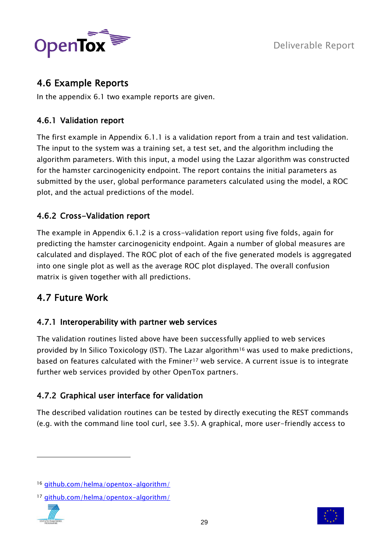

## <span id="page-28-0"></span>4.6 Example Reports

In the appendix 6.1 two example reports are given.

## <span id="page-28-1"></span>4.6.1 Validation report

The first example in Appendix 6.1.1 is a validation report from a train and test validation. The input to the system was a training set, a test set, and the algorithm including the algorithm parameters. With this input, a model using the Lazar algorithm was constructed for the hamster carcinogenicity endpoint. The report contains the initial parameters as submitted by the user, global performance parameters calculated using the model, a ROC plot, and the actual predictions of the model.

## <span id="page-28-2"></span>4.6.2 Cross-Validation report

The example in Appendix 6.1.2 is a cross-validation report using five folds, again for predicting the hamster carcinogenicity endpoint. Again a number of global measures are calculated and displayed. The ROC plot of each of the five generated models is aggregated into one single plot as well as the average ROC plot displayed. The overall confusion matrix is given together with all predictions.

## <span id="page-28-3"></span>4.7 Future Work

### <span id="page-28-4"></span>4.7.1 Interoperability with partner web services

The validation routines listed above have been successfully applied to web services provided by In Silico Toxicology (IST). The Lazar algorithm<sup>16</sup> was used to make predictions, based on features calculated with the Fminer<sup>17</sup> web service. A current issue is to integrate further web services provided by other OpenTox partners.

### <span id="page-28-5"></span>4.7.2 Graphical user interface for validation

The described validation routines can be tested by directly executing the REST commands (e.g. with the command line tool curl, see [3.5\)](#page-12-1). A graphical, more user-friendly access to

<sup>17</sup> [github.com/helma/opentox-algorithm/](http://github.com/helma/opentox-algorithm)





<sup>16</sup> [github.com/helma/opentox-algorithm/](http://github.com/helma/opentox-algorithm)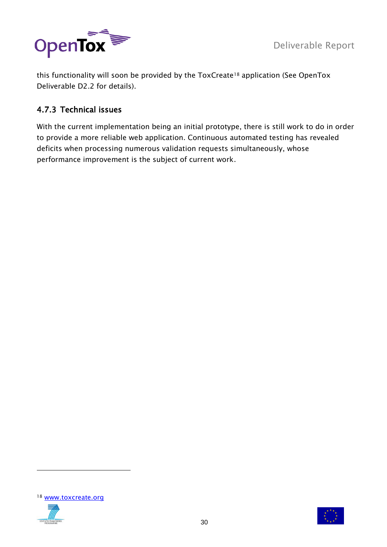



this functionality will soon be provided by the ToxCreate<sup>18</sup> application (See OpenTox Deliverable D2.2 for details).

### <span id="page-29-0"></span>4.7.3 Technical issues

With the current implementation being an initial prototype, there is still work to do in order to provide a more reliable web application. Continuous automated testing has revealed deficits when processing numerous validation requests simultaneously, whose performance improvement is the subject of current work.





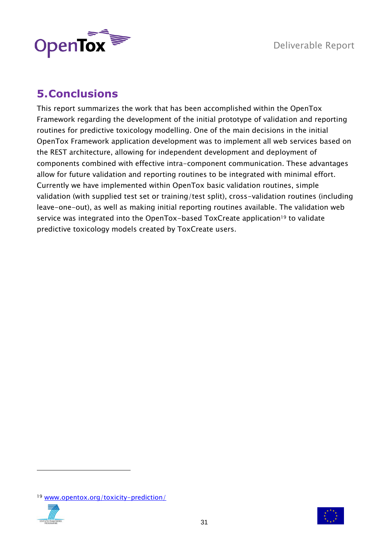

## <span id="page-30-0"></span>**5.Conclusions**

This report summarizes the work that has been accomplished within the OpenTox Framework regarding the development of the initial prototype of validation and reporting routines for predictive toxicology modelling. One of the main decisions in the initial OpenTox Framework application development was to implement all web services based on the REST architecture, allowing for independent development and deployment of components combined with effective intra-component communication. These advantages allow for future validation and reporting routines to be integrated with minimal effort. Currently we have implemented within OpenTox basic validation routines, simple validation (with supplied test set or training/test split), cross-validation routines (including leave-one-out), as well as making initial reporting routines available. The validation web service was integrated into the OpenTox-based ToxCreate application<sup>19</sup> to validate predictive toxicology models created by ToxCreate users.

<sup>19</sup> [www.opentox.org/toxicity-prediction/](http://www.opentox.org/toxicity-prediction/)



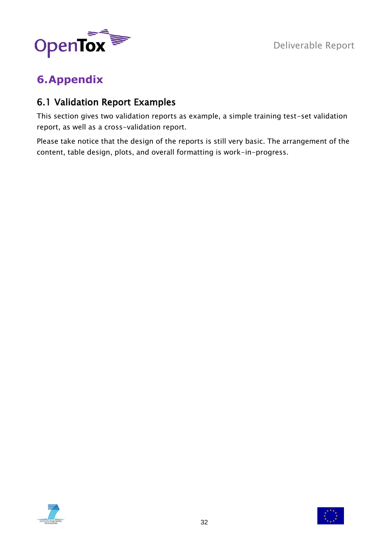

## <span id="page-31-0"></span>**6.Appendix**

## <span id="page-31-1"></span>6.1 Validation Report Examples

This section gives two validation reports as example, a simple training test-set validation report, as well as a cross-validation report.

Please take notice that the design of the reports is still very basic. The arrangement of the content, table design, plots, and overall formatting is work-in-progress.



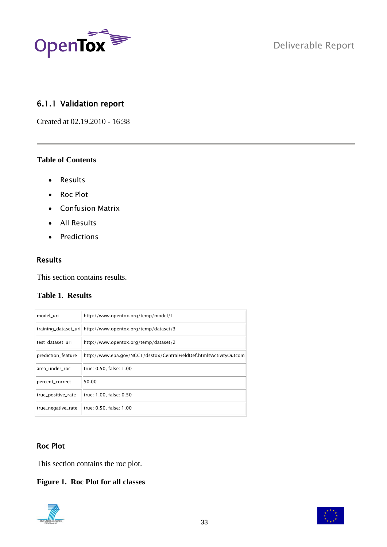

### <span id="page-32-0"></span>6.1.1 Validation report

Created at 02.19.2010 - 16:38

#### **Table of Contents**

- Results
- Roc Plot
- Confusion Matrix
- All Results
- Predictions

#### <span id="page-32-1"></span>Results

This section contains results.

### **Table 1. Results**

| model uri          | http://www.opentox.org/temp/model/1                                |
|--------------------|--------------------------------------------------------------------|
|                    | training_dataset_uri   http://www.opentox.org/temp/dataset/3       |
| test dataset uri   | http://www.opentox.org/temp/dataset/2                              |
| prediction_feature | http://www.epa.gov/NCCT/dsstox/CentralFieldDef.html#ActivityOutcom |
| area under roc     | true: 0.50, false: 1.00                                            |
| percent_correct    | 50.00                                                              |
| true_positive_rate | true: 1.00, false: 0.50                                            |
| true_negative_rate | true: 0.50, false: 1.00                                            |

#### <span id="page-32-2"></span>Roc Plot

This section contains the roc plot.

### **Figure 1. Roc Plot for all classes**



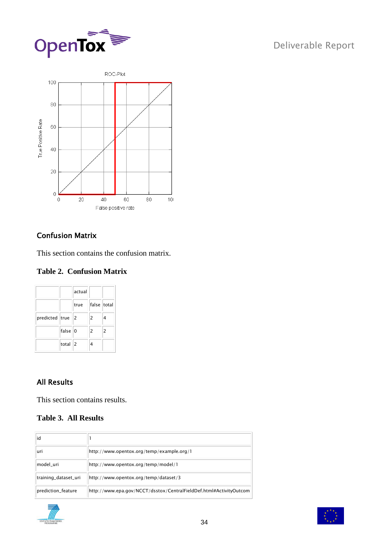



### <span id="page-33-0"></span>Confusion Matrix

This section contains the confusion matrix.

#### **Table 2. Confusion Matrix**

|                  |         | actual |                |                |
|------------------|---------|--------|----------------|----------------|
|                  |         | true   | false total    |                |
| predicted true 2 |         |        | 2              | 4              |
|                  | false 0 |        | $\overline{2}$ | $\overline{2}$ |
|                  | total   | 2      |                |                |

### <span id="page-33-1"></span>All Results

This section contains results.

#### **Table 3. All Results**

| lid                  |                                                                    |
|----------------------|--------------------------------------------------------------------|
| luri                 | http://www.opentox.org/temp/example.org/1                          |
| model uri            | http://www.opentox.org/temp/model/1                                |
| training_dataset_uri | http://www.opentox.org/temp/dataset/3                              |
| prediction_feature   | http://www.epa.gov/NCCT/dsstox/CentralFieldDef.html#ActivityOutcom |



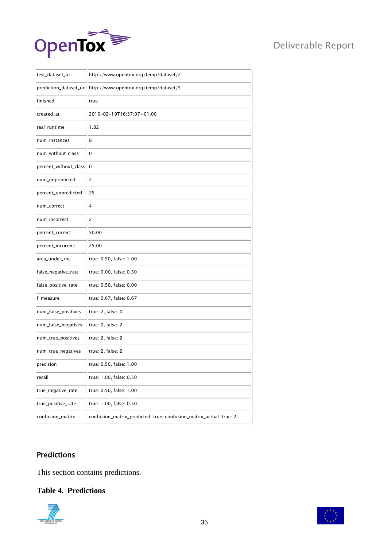

| test_dataset_uri       | http://www.opentox.org/temp/dataset/2                              |  |  |  |
|------------------------|--------------------------------------------------------------------|--|--|--|
| prediction_dataset_uri | http://www.opentox.org/temp/dataset/5                              |  |  |  |
| finished               | true                                                               |  |  |  |
| created_at             | 2010-02-19T16:37:07+01:00                                          |  |  |  |
| real_runtime           | 1.82                                                               |  |  |  |
| num_instances          | 8                                                                  |  |  |  |
| num_without_class      | 0                                                                  |  |  |  |
| percent_without_class  | 0                                                                  |  |  |  |
| num_unpredicted        | 2                                                                  |  |  |  |
| percent_unpredicted    | 25                                                                 |  |  |  |
| num_correct            | 4                                                                  |  |  |  |
| num_incorrect          | $\overline{c}$                                                     |  |  |  |
| percent_correct        | 50.00                                                              |  |  |  |
| percent_incorrect      | 25.00                                                              |  |  |  |
| area_under_roc         | true: 0.50, false: 1.00                                            |  |  |  |
| false_negative_rate    | true: 0.00, false: 0.50                                            |  |  |  |
| false_positive_rate    | true: 0.50, false: 0.00                                            |  |  |  |
| f_measure              | true: 0.67, false: 0.67                                            |  |  |  |
| num_false_positives    | true: 2, false: 0                                                  |  |  |  |
| num_false_negatives    | true: 0, false: 2                                                  |  |  |  |
| num_true_positives     | true: 2, false: 2                                                  |  |  |  |
| num_true_negatives     | true: 2, false: 2                                                  |  |  |  |
| precision              | true: 0.50, false: 1.00                                            |  |  |  |
| recall                 | true: 1.00, false: 0.50                                            |  |  |  |
| true_negative_rate     | true: 0.50, false: 1.00                                            |  |  |  |
| true_positive_rate     | true: 1.00, false: 0.50                                            |  |  |  |
| confusion_matrix       | confusion_matrix_predicted: true, confusion_matrix_actual: true: 2 |  |  |  |

### <span id="page-34-0"></span>Predictions

This section contains predictions.

#### **Table 4. Predictions**



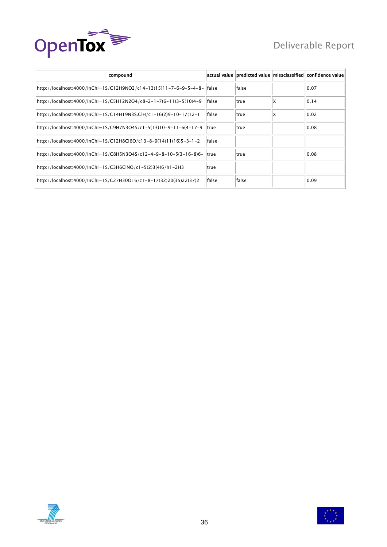

| compound                                                                  |              |              |    | actual value predicted value missclassified confidence value |
|---------------------------------------------------------------------------|--------------|--------------|----|--------------------------------------------------------------|
| http://localhost:4000/lnChl=1S/C12H9NO2/c14-13(15)11-7-6-9-5-4-8-   false |              | <b>false</b> |    | 0.07                                                         |
| http://localhost:4000/lnChl=1S/C5H12N2O4/c8-2-1-7(6-11)3-5(10)4-9         | lfalse       | ltrue        | ΙX | 0.14                                                         |
| http://localhost:4000/lnChl=1S/C14H19N3S.ClH/c1-16(2)9-10-17(12-1         | <b>false</b> | ltrue        |    | 0.02                                                         |
| http://localhost:4000/InChI=1S/C9H7N3O4S/c1-5(13)10-9-11-6(4-17-9         | Itrue        | true         |    | 0.08                                                         |
| http://localhost:4000/lnChl=1S/C12H8Cl6O/c13-8-9(14)11(16)5-3-1-2         | <b>false</b> |              |    |                                                              |
| -6-16-8)http://localhost:4000/InChI=1S/C8H5N3O4S/c12-4-9-8-10-5(3-16-8)   | ltrue        | ltrue        |    | 0.08                                                         |
| http://localhost:4000/InChI=1S/C3H6ClNO/c1-5(2)3(4)6/h1-2H3               | ltrue        |              |    |                                                              |
| http://localhost:4000/InChI=1S/C27H30O16/c1-8-17(32)20(35)22(37)2         | <b>false</b> | <b>false</b> |    | 0.09                                                         |



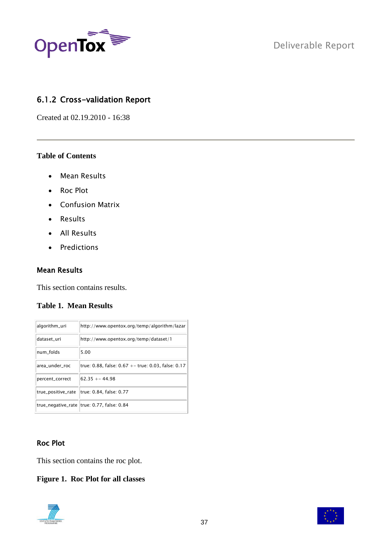

### <span id="page-36-0"></span>6.1.2 Cross-validation Report

Created at 02.19.2010 - 16:38

#### **Table of Contents**

- Mean Results
- Roc Plot
- Confusion Matrix
- Results
- All Results
- Predictions

#### <span id="page-36-1"></span>Mean Results

This section contains results.

#### **Table 1. Mean Results**

| algorithm_uri      | http://www.opentox.org/temp/algorithm/lazar        |
|--------------------|----------------------------------------------------|
| dataset uri        | http://www.opentox.org/temp/dataset/1              |
| num folds          | 5.00                                               |
| area under roc     | true: 0.88, false: 0.67 +- true: 0.03, false: 0.17 |
| percent_correct    | $62.35 + -44.98$                                   |
| true_positive_rate | true: 0.84, false: 0.77                            |
|                    | true_negative_rate true: 0.77, false: 0.84         |

#### <span id="page-36-2"></span>Roc Plot

This section contains the roc plot.

#### **Figure 1. Roc Plot for all classes**



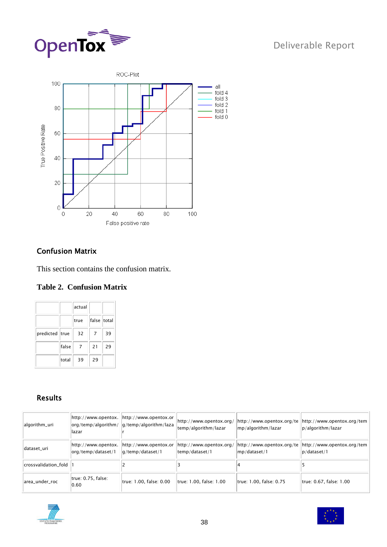



### <span id="page-37-0"></span>Confusion Matrix

This section contains the confusion matrix.

### **Table 2. Confusion Matrix**

|                |       | actual |               |    |
|----------------|-------|--------|---------------|----|
|                |       | true   | false   total |    |
| predicted true |       | 32     | 7             | 39 |
|                | false | 7      | 21            | 29 |
|                | total | 39     | 29            |    |

### <span id="page-37-1"></span>Results

| algorithm_uri        | lazar                                     | http://www.opentox. http://www.opentox.or<br>org/temp/algorithm/   g/temp/algorithm/laza | http://www.opentox.org/<br>temp/algorithm/lazar | http://www.opentox.org/te<br>mp/algorithm/lazar | http://www.opentox.org/tem<br>$ p/a $ gorithm/lazar |
|----------------------|-------------------------------------------|------------------------------------------------------------------------------------------|-------------------------------------------------|-------------------------------------------------|-----------------------------------------------------|
| dataset_uri          | http://www.opentox.<br>org/temp/dataset/1 | http://www.opentox.or<br>$ q$ /temp/dataset/1                                            | http://www.opentox.org/<br> temp/dataset/1      | http://www.opentox.org/te<br>mp/dataset/1       | http://www.opentox.org/tem<br> p/dataset/1          |
| crossvalidation_fold |                                           |                                                                                          |                                                 |                                                 |                                                     |
| area_under_roc       | true: 0.75, false:<br>0.60                | true: 1.00, false: 0.00                                                                  | true: 1.00, false: 1.00                         | true: 1.00, false: 0.75                         | true: 0.67, false: 1.00                             |



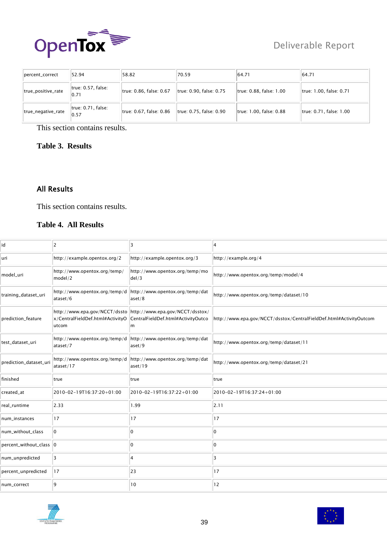

| percent_correct    | 52.94                         | 58.82                   | 70.59                   | 64.71                   | 64.71                   |
|--------------------|-------------------------------|-------------------------|-------------------------|-------------------------|-------------------------|
| true_positive_rate | true: 0.57, false:<br>0.71    | true: 0.86, false: 0.67 | true: 0.90, false: 0.75 | true: 0.88, false: 1.00 | true: 1.00, false: 0.71 |
| true_negative_rate | $true: 0.71$ , false:<br>0.57 | true: 0.67, false: 0.86 | true: 0.75. false: 0.90 | true: 1.00. false: 0.88 | true: 0.71, false: 1.00 |

This section contains results.

#### **Table 3. Results**

#### <span id="page-38-0"></span>All Results

This section contains results.

#### **Table 4. All Results**

| Ч                           |                                          |                                                                                                                     |                                                                                                                                        |
|-----------------------------|------------------------------------------|---------------------------------------------------------------------------------------------------------------------|----------------------------------------------------------------------------------------------------------------------------------------|
| uri                         | http://example.opentox.org/2             | $ $ http://example.opentox.org/3                                                                                    | http://example.org/4                                                                                                                   |
| model_uri                   | http://www.opentox.org/temp/<br> model/2 | http://www.opentox.org/temp/mo<br> del/3                                                                            | http://www.opentox.org/temp/model/4                                                                                                    |
| training_dataset_uri        | $\vert$ ataset/6                         | $\left\lVert \mathsf{http://www.opentox.org/temp/d} \right\rVert$ http://www.opentox.org/temp/dat<br>$\vert$ aset/8 | $\left  \frac{\hbar}{\hbar} \right $ /www.opentox.org/temp/dataset/10                                                                  |
| prediction_feature          | utcom                                    | $\left  \frac{\text{http://www.epa.gov/NCCT/dssto}}{\text{http://www.epa.gov/NCCT/dsstox/}} \right $                | x/CentralFieldDef.html#ActivityO CentralFieldDef.html#ActivityOutco http://www.epa.gov/NCCT/dsstox/CentralFieldDef.html#ActivityOutcom |
| test_dataset_uri            | $\vert$ ataset/7                         | http://www.opentox.org/temp/d http://www.opentox.org/temp/dat<br>$\vert$ aset/9                                     | http://www.opentox.org/temp/dataset/11                                                                                                 |
| prediction_dataset_uri      | $\vert$ ataset/17                        | http://www.opentox.org/temp/d http://www.opentox.org/temp/dat<br>$\vert$ aset/19                                    | http://www.opentox.org/temp/dataset/21                                                                                                 |
| finished                    | $ $ true                                 | true                                                                                                                | true                                                                                                                                   |
| created_at                  | $2010 - 02 - 19T16:37:20 + 01:00$        | $ 2010-02-19T16:37:22+01:00$                                                                                        | $2010 - 02 - 19T16:37:24 + 01:00$                                                                                                      |
| real_runtime                | $ 2.33\rangle$                           | 1.99                                                                                                                | 2.11                                                                                                                                   |
| num_instances               | $ 17\rangle$                             |                                                                                                                     |                                                                                                                                        |
| num_without_class           | ۱n                                       |                                                                                                                     |                                                                                                                                        |
| percent_without_class  0    |                                          |                                                                                                                     |                                                                                                                                        |
| num_unpredicted             |                                          |                                                                                                                     |                                                                                                                                        |
| $percent\_unpredicted$   17 |                                          |                                                                                                                     | 17                                                                                                                                     |
| num_correct                 |                                          |                                                                                                                     | 12                                                                                                                                     |
|                             |                                          |                                                                                                                     |                                                                                                                                        |



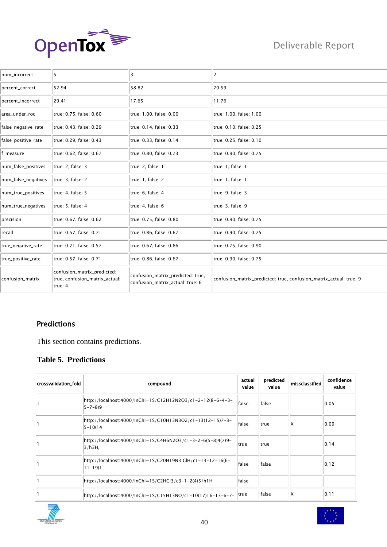

| confusion_matrix    | confusion_matrix_predicted:<br>true, confusion_matrix_actual:<br>true: $4$ | confusion_matrix_predicted: true,<br>confusion_matrix_actual: true: 6 | confusion_matrix_predicted: true, confusion_matrix_actual: true: 9 |
|---------------------|----------------------------------------------------------------------------|-----------------------------------------------------------------------|--------------------------------------------------------------------|
| true_positive_rate  | true: 0.57, false: 0.71                                                    | true: 0.86, false: 0.67                                               | true: 0.90, false: 0.75                                            |
| true_negative_rate  | true: 0.71, false: 0.57                                                    | true: 0.67, false: 0.86                                               | true: 0.75, false: 0.90                                            |
| recall              | true: 0.57, false: 0.71                                                    | true: 0.86, false: 0.67                                               | true: 0.90, false: 0.75                                            |
| precision           | true: 0.67, false: 0.62                                                    | true: 0.75, false: 0.80                                               | true: 0.90, false: 0.75                                            |
| num_true_negatives  | $\vert$ true: 5, false: 4                                                  | true: 4, false: 6                                                     | true: 3, false: 9                                                  |
| num_true_positives  | $\parallel$ true: 4, false: 5                                              | true: 6, false: 4                                                     | true: 9, false: 3                                                  |
| num_false_negatives | true: 3, false: 2                                                          | true: 1, false: 2                                                     | true: 1, false: 1                                                  |
| num_false_positives | true: 2, false: 3                                                          | true: 2, false: 1                                                     | true: 1, false: 1                                                  |
| f_measure           | true: 0.62, false: 0.67                                                    | true: 0.80, false: 0.73                                               | true: 0.90, false: 0.75                                            |
| false_positive_rate | true: 0.29, false: 0.43                                                    | true: 0.33, false: 0.14                                               | true: 0.25, false: 0.10                                            |
| false_negative_rate | true: 0.43, false: 0.29                                                    | true: 0.14, false: 0.33                                               | true: 0.10, false: 0.25                                            |
| area_under_roc      | true: 0.75, false: 0.60                                                    | true: 1.00, false: 0.00                                               | true: 1.00, false: 1.00                                            |
| percent_incorrect   | 29.41                                                                      | 17.65                                                                 | 11.76                                                              |
| percent_correct     | 52.94                                                                      | 58.82                                                                 | 70.59                                                              |
| num_incorrect       |                                                                            |                                                                       |                                                                    |
|                     |                                                                            |                                                                       |                                                                    |

### <span id="page-39-0"></span>Predictions

This section contains predictions.

### **Table 5. Predictions**

| crossvalidation_fold | compound                                                                                  | actual<br>value | predicted<br>value | missclassified | confidence<br>value |
|----------------------|-------------------------------------------------------------------------------------------|-----------------|--------------------|----------------|---------------------|
|                      | -12(8-6-4-3) http://localhost:4000/InChI=1S/C12H12N2O3/c1-2-12<br>$5 - 7 - 8$ )9          | false           | lfalse             |                | 0.05                |
|                      | -13(12-15)7-3  http://localhost:4000/InChI=1S/C10H13N3O2/c1-13(12-15)7-3 <br>$5 - 10(14)$ | false           | true               | х              | $ 0.09\rangle$      |
|                      | -http://localhost:4000/InChI=1S/C4H6N2O3/c1-3-2-6(5-8)4(7)9 <br>$3/h3H$ ,                 | true            | true               |                | 0.14                |
|                      | -16(6- http://localhost:4000/InChI=1S/C20H19N3.ClH/c1-13-12<br>$11 - 19(1)$               | <b>false</b>    | lfalse             |                | 0.12                |
|                      | http://localhost:4000/InChI=1S/C2HCl3/c3-1-2(4)5/h1H                                      | lfalse          |                    |                |                     |
|                      | http://localhost:4000/InChI=1S/C15H13NO/c1-10(17)16-13-6-7-                               | true            | lfalse             |                | 0.11                |

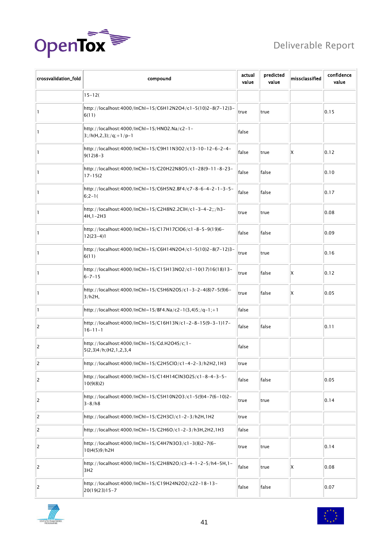



| crossvalidation_fold | compound                                                                      |       | predicted<br>value | missclassified | confidence<br>value |
|----------------------|-------------------------------------------------------------------------------|-------|--------------------|----------------|---------------------|
|                      | $15 - 12($                                                                    |       |                    |                |                     |
|                      | http://localhost:4000/InChI=1S/C6H12N2O4/c1-5(10)2-8(7-12)3-<br>6(11)         | true  | true               |                | 0.15                |
| П                    | http://localhost:4000/lnChl=1S/HNO2.Na/c2-1-<br>$3$ ;/h(H,2,3);/q;+1/p-1      | false |                    |                |                     |
|                      | http://localhost:4000/lnChl=1S/C9H11N3O2/c13-10-12-6-2-4-<br>$9(12)8-3$       | false | true               | ΙX             | 0.12                |
|                      | http://localhost:4000/lnChI=1S/C20H22N8O5/c1-28(9-11-8-23-<br>$17 - 15(2)$    | false | false              |                | 0.10                |
|                      | http://localhost:4000/InChI=1S/C6H5N2.BF4/c7-8-6-4-2-1-3-5-<br>$6;2-1($       | false | false              |                | 0.17                |
|                      | http://localhost:4000/InChI=1S/C2H8N2.2ClH/c1-3-4-2;;/h3-<br>4H, 1-2H3        | true  | true               |                | 0.08                |
|                      | http://localhost:4000/lnChI=1S/C17H17ClO6/c1-8-5-9(19)6-<br>$12(23-4)1$       | false | false              |                | 0.09                |
|                      | http://localhost:4000/InChI=1S/C6H14N2O4/c1-5(10)2-8(7-12)3-<br>6(11)         | true  | true               |                | 0.16                |
| 1                    | http://localhost:4000/lnChl=1S/C15H13NO2/c1-10(17)16(18)13-<br>$6 - 7 - 15$   | true  | false              | ΙX             | 0.12                |
|                      | http://localhost:4000/InChI=1S/C5H6N2OS/c1-3-2-4(8)7-5(9)6-<br>$3/h2H$ ,      | true  | false              | X              | 0.05                |
| 1                    | http://localhost:4000/InChI=1S/BF4.Na/c2-1(3,4)5;/q-1;+1                      | false |                    |                |                     |
| 2                    | http://localhost:4000/lnChl=1S/C16H13N/c1-2-8-15(9-3-1)17-<br>$16 - 11 - 1$   | false | false              |                | 0.11                |
| 2                    | http://localhost:4000/lnChI=1S/Cd.H2O4S/c;1-<br>$5(2,3)4/h$ ; (H2, 1, 2, 3, 4 | false |                    |                |                     |
| $\overline{2}$       | http://localhost:4000/InChI=1S/C2H5ClO/c1-4-2-3/h2H2,1H3                      | true  |                    |                |                     |
| 2                    | http://localhost:4000/lnChl=1S/C14H14ClN3O2S/c1-8-4-3-5-<br>10(9(8)2)         | false | false              |                | 0.05                |
| $\overline{2}$       | http://localhost:4000/lnChl=1S/C5H10N2O3/c1-5(9)4-7(6-10)2-<br>$3 - 8/h8$     | true  | true               |                | 0.14                |
| 2                    | http://localhost:4000/lnChl=1S/C2H3Cl/c1-2-3/h2H,1H2                          | true  |                    |                |                     |
| $\overline{2}$       | http://localhost:4000/lnChI=1S/C2H6O/c1-2-3/h3H,2H2,1H3                       | false |                    |                |                     |
| $\overline{2}$       | http://localhost:4000/InChI=1S/C4H7N3O3/c1-3(8)2-7(6-<br>10)4(5)9/h2H         | true  | true               |                | 0.14                |
| $\overline{2}$       | http://localhost:4000/InChI=1S/C2H8N2O/c3-4-1-2-5/h4-5H,1-<br>3H2             | false | true               | X.             | 0.08                |
| 2                    | http://localhost:4000/InChI=1S/C19H24N2O2/c22-18-13-<br>$20(19(23)15 - 7)$    | false | false              |                | 0.07                |



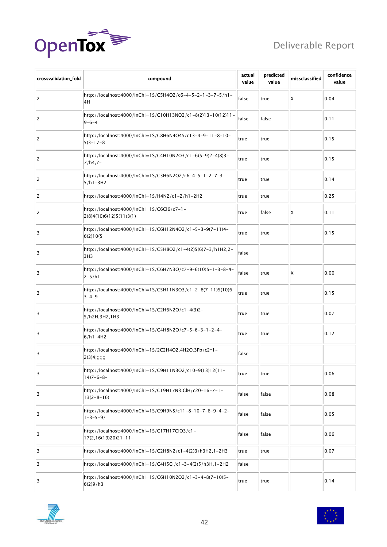



| crossvalidation_fold | compound                                                                        |       | predicted<br>value | missclassified | confidence<br>value |
|----------------------|---------------------------------------------------------------------------------|-------|--------------------|----------------|---------------------|
| 2                    | http://localhost:4000/InChI=1S/C5H4O2/c6-4-5-2-1-3-7-5/h1-<br>4H                | false | true               | X              | 0.04                |
| 2                    | http://localhost:4000/InChI=1S/C10H13NO2/c1-8(2)13-10(12)11-<br>$9 - 6 - 4$     | false | false              |                | 0.11                |
| 2                    | http://localhost:4000/lnChI=1S/C8H6N4O4S/c13-4-9-11-8-10-<br>$5(3-17-8)$        | true  | true               |                | 0.15                |
| 2                    | http://localhost:4000/lnChl=1S/C4H10N2O3/c1-6(5-9)2-4(8)3-<br>$7/h4,7-$         | true  | true               |                | 0.15                |
| 2                    | http://localhost:4000/InChI=1S/C3H6N2O2/c6-4-5-1-2-7-3-<br>$5/h1 - 3H2$         | true  | true               |                | 0.14                |
| 2                    | http://localhost:4000/lnChl=1S/H4N2/c1-2/h1-2H2                                 | true  | true               |                | 0.25                |
| 2                    | http://localhost:4000/InChI=1S/C6CI6/c7-1-<br>2(8)4(10)6(12)5(11)3(1)           | true  | false              | X              | 0.11                |
| 3                    | http://localhost:4000/lnChl=1S/C6H12N4O2/c1-5-3-9(7-11)4-<br>6(2)10(5)          | true  | true               |                | 0.15                |
| 3                    | http://localhost:4000/InChI=1S/C5H8O2/c1-4(2)5(6)7-3/h1H2,2-<br>3H <sub>3</sub> | false |                    |                |                     |
| 3                    | http://localhost:4000/InChI=1S/C6H7N3O/c7-9-6(10)5-1-3-8-4-<br>$2 - 5/h1$       | false | true               | X              | 0.00                |
| 3                    | http://localhost:4000/InChI=1S/C5H11N3O3/c1-2-8(7-11)5(10)6-<br>$3 - 4 - 9$     | true  | true               |                | 0.15                |
| 3                    | http://localhost:4000/InChI=1S/C2H6N2O/c1-4(3)2-<br>5/h2H, 3H2, 1H3             | true  | true               |                | 0.07                |
| 3                    | http://localhost:4000/InChI=1S/C4H8N2O/c7-5-6-3-1-2-4-<br>$6/h1 - 4H2$          | true  | true               |                | 0.12                |
| 3                    | http://localhost:4000/lnChl=1S/2C2H4O2.4H2O.3Pb/c2*1-<br>$2(3)4;$ ;;;;;;;       | false |                    |                |                     |
| 3                    | http://localhost:4000/lnChI=1S/C9H11N3O2/c10-9(13)12(11-<br>$14)7 - 6 - 8 -$    | true  | true               |                | 0.06                |
| 3                    | http://localhost:4000/lnChl=1S/C19H17N3.ClH/c20-16-7-1-<br>$13(2 - 8 - 16)$     | false | false              |                | 0.08                |
| 3                    | http://localhost:4000/InChI=1S/C9H9NS/c11-8-10-7-6-9-4-2-<br>$1 - 3 - 5 - 9/$   | false | false              |                | 0.05                |
| 3                    | http://localhost:4000/InChI=1S/C17H17ClO3/c1-<br>$17(2,16(19)20)21-11-$         | false | false              |                | 0.06                |
| 3                    | http://localhost:4000/lnChl=1S/C2H8N2/c1-4(2)3/h3H2,1-2H3                       | true  | true               |                | 0.07                |
| 3                    | http://localhost:4000/lnChI=1S/C4H5Cl/c1-3-4(2)5/h3H,1-2H2                      | false |                    |                |                     |
| 3                    | http://localhost:4000/lnChl=1S/C6H10N2O2/c1-3-4-8(7-10)5-<br>6(2)9/h3           | true  | true               |                | 0.14                |



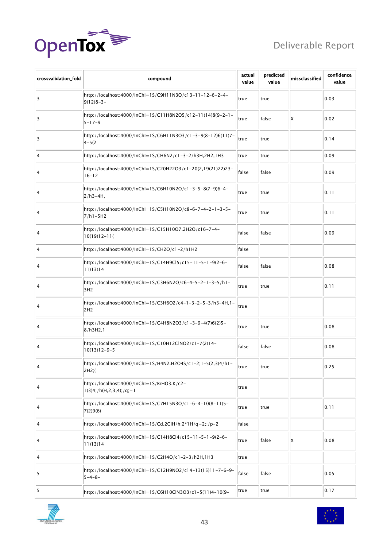



| crossvalidation_fold | compound                                                                       | predicted<br>actual<br>value<br>value |        | missclassified | confidence<br>value |
|----------------------|--------------------------------------------------------------------------------|---------------------------------------|--------|----------------|---------------------|
| 3                    | http://localhost:4000/lnChl=1S/C9H11N3O/c13-11-12-6-2-4-<br>$9(12)8 - 3 -$     | true                                  | true   |                | 0.03                |
| 3                    | http://localhost:4000/lnChl=1S/C11H8N2O5/c12-11(14)8(9-2-1-<br>$5 - 17 - 9$    | true                                  | lfalse | X              | 0.02                |
| 3                    | http://localhost:4000/InChI=1S/C6H11N3O3/c1-3-9(8-12)6(11)7-<br>$4 - 5(2)$     | true                                  | true   |                | 0.14                |
| $\overline{4}$       | http://localhost:4000/lnChI=1S/CH6N2/c1-3-2/h3H,2H2,1H3                        | true                                  | true   |                | 0.09                |
| 4                    | http://localhost:4000/lnChI=1S/C20H22O3/c1-20(2,19(21)22)23-<br>$16 - 12$      | false                                 | false  |                | 0.09                |
| 4                    | http://localhost:4000/InChI=1S/C6H10N2O/c1-3-5-8(7-9)6-4-<br>$2/h3 - 4H,$      | true                                  | true   |                | 0.11                |
| 4                    | http://localhost:4000/lnChI=1S/C5H10N2O/c8-6-7-4-2-1-3-5-<br>$7/h1 - 5H2$      | true                                  | true   |                | 0.11                |
| 4                    | http://localhost:4000/lnChI=1S/C15H10O7.2H2O/c16-7-4-<br>$10(19)12-11($        | false                                 | false  |                | 0.09                |
| $\overline{4}$       | http://localhost:4000/InChI=1S/CH2O/c1-2/h1H2                                  | false                                 |        |                |                     |
| 4                    | http://localhost:4000/lnChl=1S/C14H9Cl5/c15-11-5-1-9(2-6-<br>11)13(14          | false                                 | false  |                | 0.08                |
| 4                    | http://localhost:4000/lnChI=1S/C3H6N2O/c6-4-5-2-1-3-5/h1-<br>3H <sub>2</sub>   | true                                  | true   |                | 0.11                |
| 14                   | http://localhost:4000/lnChl=1S/C3H6O2/c4-1-3-2-5-3/h3-4H,1-<br>2H <sub>2</sub> | true                                  |        |                |                     |
| $\overline{4}$       | http://localhost:4000/lnChI=1S/C4H8N2O3/c1-3-9-4(7)6(2)5-<br>8/h3H2,1          | true                                  | true   |                | 0.08                |
| 4                    | http://localhost:4000/InChI=1S/C10H12ClNO2/c1-7(2)14-<br>$10(13)12 - 9 - 5$    | false                                 | false  |                | 0.08                |
| 4                    | http://localhost:4000/InChI=1S/H4N2.H2O4S/c1-2;1-5(2,3)4/h1-<br>2H2;           | true                                  | true   |                | 0.25                |
| 4                    | http://localhost:4000/InChI=1S/BrHO3.K/c2-<br>$1(3)4$ ; /h(H,2,3,4); /q; +1    | true                                  |        |                |                     |
| 4                    | http://localhost:4000/lnChl=1S/C7H15N3O/c1-6-4-10(8-11)5-<br>7(2)9(6)          | true                                  | true   |                | 0.11                |
| 4                    | http://localhost:4000/lnChl=1S/Cd.2ClH/h;2*1H/q+2;;/p-2                        | false                                 |        |                |                     |
| 4                    | http://localhost:4000/lnChl=1S/C14H8Cl4/c15-11-5-1-9(2-6-<br>11)13(14          | true                                  | false  | X              | 0.08                |
| $\overline{4}$       | http://localhost:4000/InChI=1S/C2H4O/c1-2-3/h2H,1H3                            | true                                  |        |                |                     |
| 5                    | http://localhost:4000/lnChl=1S/C12H9NO2/c14-13(15)11-7-6-9-<br>$5 - 4 - 8 -$   | false                                 | false  |                | 0.05                |
| 5                    | http://localhost:4000/lnChI=1S/C6H10ClN3O3/c1-5(11)4-10(9-                     | true                                  | true   |                | 0.17                |